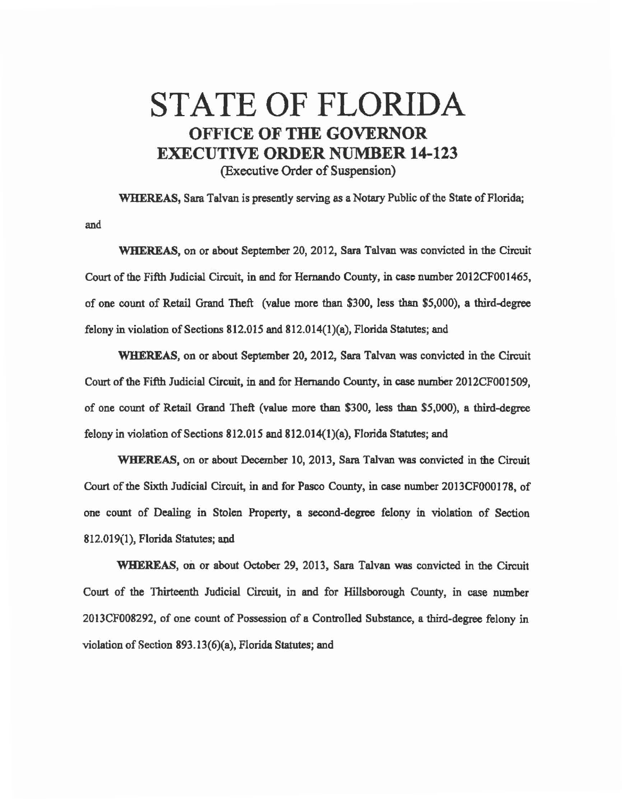## STATE OF FLORIDA OFFICE OF THE GOVERNOR EXECUTIVE ORDER NUMBER 14-123 (Executive Order of Suspension)

WHEREAS, Sara Talvan is presently serving as a Notary Public of the State of Florida; and

WHEREAS, on or about September 20, 2012, Sara Talvan was convicted in the Circuit Court of the Fifth Judicial Circuit, in end for Hernando County, in case number 2012CF001465, of one count of Retail Grand Theft (value more than \$300, less than \$5,000), a third-degree felony in \'iolation of Sections 812.015 and 812.014(l)(a), Florida Statutes; and

WHEREAS, on or about September 20, 2012, Sara Talvan was convicted in the Circuit Court of the Fifth Judicial Circuit, in and for Hernando County, in case number 2012CF001509, of one count of Retail Grand Theft (value more than \$300, less than \$5,000), a third-degree felony in violation of Sections 812.015 and 812.014(1)(a), Florida Statutes; and

WHEREAS, on or about December 10, 2013, Sara Talvan was convicted in the Circuit Court of the Sixth Judicial Circuit, in and for Pasco County, in case number 2013CF000178, of one count of Dealing in Stolen Property, a second-degree felony in violation of Section 812.019(1), Florida Statutes; and

WHEREAS, on or about October 29, 2013, Sara Talvan was convicted in the Circuit Court of the Thirteenth Judicial Circuit, in and for Hillsborough County, in case number 20 l 3CF008292, of one count of Possession of a Controlled Substance, a third-degree felony in violation of Section 893.13(6)(a), Florida Statutes; and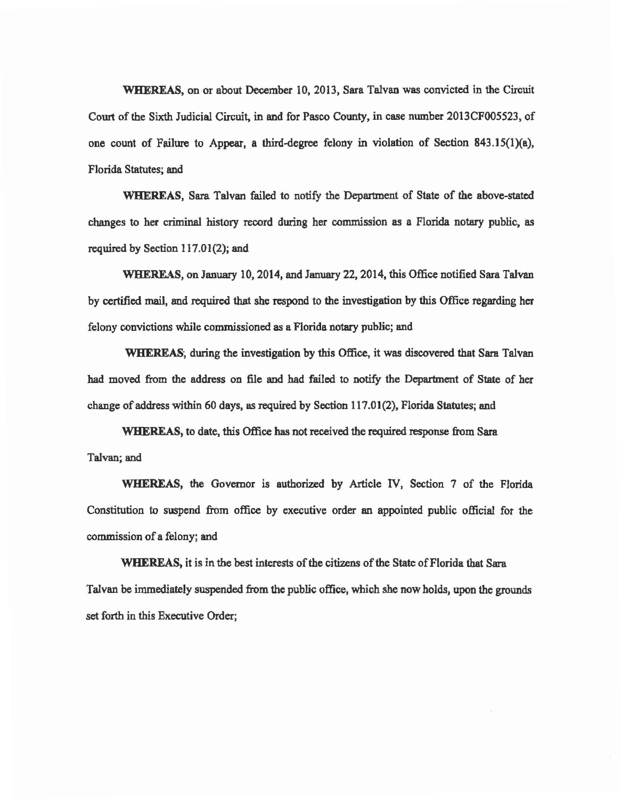WHEREAS, on or about December 10, 2013, Sara Talvan was convicted in the Circuit Court of the Sixth Judicial Circuit, in and for Pasco County, in case number 2013CF005523, of one count of Failure to Appear, a third-degree felony in violation of Section 843.15(1)(a), Florida Statutes; and

WHEREAS, Sara Talvan failed to notify the Department of State of the above-stated changes to her criminal history record during her commission as a Florida notary public, as required by Section 117.01(2); and

WHEREAS, on January 10, 2014, and January 22, 2014, this Office notified Sara Talvan by certified mail, and required that she respond to the investigation by this Office regarding her felony convictions while commissioned as a Florida notary public; and

WHEREAS, during the investigation by this Office, it was discovered that Sara Talvan had moved from the address on file and had failed to notify the Department of State of her change of address within 60 days, as required by Section 117.01(2), Florida Statutes; and

WHEREAS, to date, this Office has not received the required response from Sara Talvan; and

WHEREAS, the Governor is authorized by Article IV, Section 7 of the Florida Constitution to swpend from office by executive order an appointed public official for the commission of a felony; and

WHEREAS, it is in the best interests of the citizens of the State of Florida that Sara Talvan be immediately suspended from the public office, which she now holds, upon the grounds set forth in this Executive Order;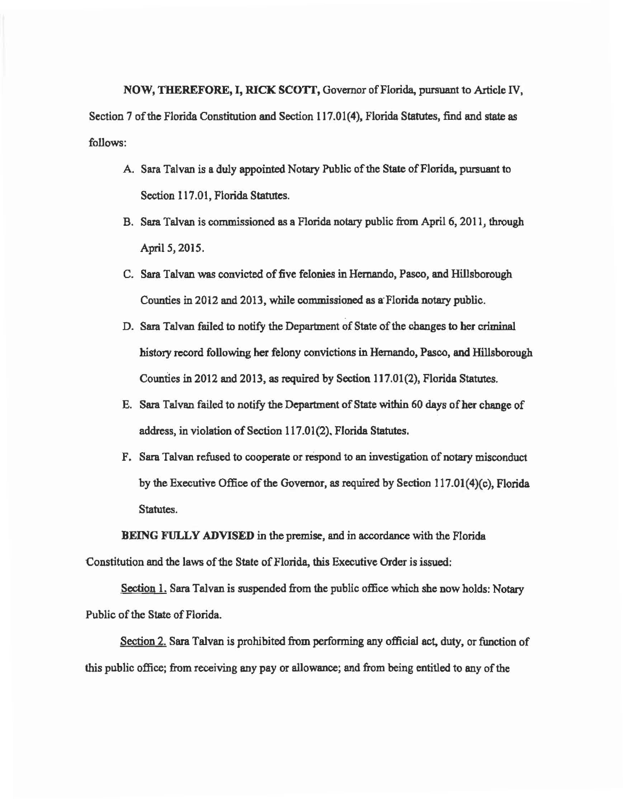NOW, THEREFORE, I, RICK SCOTI', Governor of Florida, pursuant to Article IV, Section 7 of the Florida Constitution and Section 117.01(4), Florida Statutes, find and state as follows:

- A. Sara Talvan is a duly appointed Notary Public of the State of Florida, pursuant to Section 117.01, Florida Statutes.
- B. Sara Talvan is commissioned as a Florida notary public from April 6, 2011, through April *5,* 2015.
- C. Sara Talvan was convicted of five felonies in Hernando, Pasco, and Hillsborough Counties in 2012 and 2013, while commissioned as a Florida notary public.
- D. Sara Talvan failed to notify the Department of State of the changes to her criminal history record following her felony convictions in Hernando, Pasco, and Hillsborough Counties in 2012 and 2013, as required by Section 117.01(2), Florida Statutes.
- E. Sara Talvan failed to notify the Department of State within 60 days of her change of address, in violation of Section 117.01 (2). Florida Statutes.
- F. Sara Talvan refused to cooperate or respond to an investigation of notary misconduct by the Executive Office of the Governor, as required by Section  $117.01(4)(c)$ , Florida Statutes.

BEING FULLY ADVISED in the premise, and in accordance with the Florida

Constitution and the laws of the State of Florida, this Executive Order is issued:

Section 1. Sara Talvan is suspended from the public office which she now holds: Notary Public of the State of Florida.

Section 2. Sara Talvan is prohibited from performing any official act, duty, or function of this public office; from receiving any pay or allowance; and from being entitled to any of the